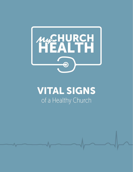

## VITAL SIGNS of a Healthy Church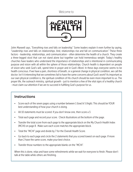Welcome to



John Maxwell says, "Everything rises and falls on leadership." Some leaders explain it even further by saying, "Leadership rises and falls on relationships. And, relationships rise and fall on communication." These three factors - leadership, relationships, and communication - often determine the health of a church. They create a three-legged stool that can not stand alone but together can hold tremendous weight. Today's healthy churches have leaders who understand the importance of relationships and is intentional in communicating purpose and vision with all within the sphere of those relationships. Church health is dependent on people of vision who seek God's will, spend time in prayer and in God's Word. In these days everyone seems to be health conscious. If we have a pain, shortness of breath, or a general change in physical condition, we call the doctor. Isn't it interesting that we sometimes fail to have the same concerns about God's work? As important as our own physical condition is, the spiritual condition of His church should be even more important to us. The prayer life, the outreach ministry, spiritual growth - just to mention a few of the vital signs of a healthy church - must claim our attention if we are to succeed in fulfilling God's purpose for us.

#### **Instructions**

- Score each of the seven pages using a number between 1 (low) & 5 (high). This should be YOUR best understanding of how your church is doing.
- All 10 statements must be scored. If you don't know one, then score a 3.
- Total each page and record your score. Check illustrations at the bottom of the page.
- Transfer the total score from each page to the appropriate block on the My Church Health Index (MCHI) on page 8 . Make sure each score matches the appropriate block.
- Total the "MCHI" page and divide by 7 for the Overall Health Score.
- Go back to each page and circle the 2 statements that you scored lowest on each page. If more than 2 have the same score, make your best choice.
- Transfer those numbers to the appropriate blanks on the "MCHI".

When this is done, relax and have some refreshments while we wait for everyone to finish. Please don't talk at the table while others are finishing.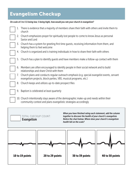### Evangelism Checkup

#### *On scale of 1 to 5 (1 being low; 5 being high), how would you rate your church in evangelism?*

| 1.         | There is evidence that a majority of members share their faith with others and invite them to<br>church                                                          |
|------------|------------------------------------------------------------------------------------------------------------------------------------------------------------------|
|            | 2. Church emphasizes prayer for spiritually lost people to come to know Jesus as personal<br>Savior and Lord                                                     |
|            | 3. Church has a system for greeting first time guests, receiving information from them, and<br>helping them to feel welcome                                      |
|            | 4. Church is organized and is training individuals in how to share their faith with others                                                                       |
| 5.         | Church has a plan to identify quests and have members make a follow-up contact with them                                                                         |
|            | 6. Members are often encouraged to identify people in their social network and to build<br>relationships and share Christ with them                              |
| $\sqrt{2}$ | Church plans and conducts regular outreach emphasis (e.g. special evangelist events, servant<br>evangelism projects, block parties, VBS, musical programs, etc.) |
|            | 8. Church keeps and utilizes up-to-date prospect files                                                                                                           |
| 9.         | Baptism is celebrated at least quarterly                                                                                                                         |
|            | 10. Church intentionally stays aware of the demographic make-up and needs within their<br>community context and plans evangelistic strategies accordingly        |

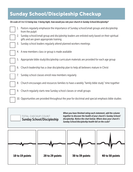### Sunday School/Discipleship Checkup

#### *On scale of 1 to 5 (1 being low; 5 being high), how would you rate your church in Sunday School/discipleship?*

1. Pastors regularly emphasize the importance of Sunday school/small groups and discipleship from the pulpit 2. Sunday school/small group and discipleship leaders are enlisted early based on their spiritual gifts and are given appropriate training 3. Sunday school leaders regularly attend planned workers meetings 4. A new members class or group is made available 5. Appropriate bible study/discipleship curriculum materials are provided for each age group 6. Church leadership has a clear discipleship plan to help all believers mature in Christ 7. Sunday school classes enroll new members regularly 8. Church encourages and resources families to have a weekly "family bible study" time together 9. Church regularly starts new Sunday school classes or small groups 10. Opportunities are provided throughout the year for doctrinal and special emphasis bible studies



*When you have finished rating each statement, add the column together to discover the health of your church's Sunday School/ discipleship. Notice the chart below. Where does your church's Sunday School/discipleship health fall on the scale?*

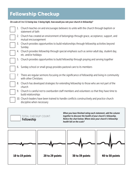### Fellowship Checkup

TOTAL CHECKUP COUNT:

Fellowship

#### *On scale of 1 to 5 (1 being low; 5 being high), how would you rate your church in fellowship?*

| 1. | Church teaches on and encourages believers to unite with the church through baptism or<br>statement of faith             |
|----|--------------------------------------------------------------------------------------------------------------------------|
|    | 2. Church has created an environment of belongings through grace, acceptance, support, and<br>mutual encouragement       |
|    | 3. Church provides opportunities to build relationships through fellowship activities beyond<br>Sunday                   |
|    | 4. Church provides fellowship through special emphasis such as senior adult day, student day,<br>etc. and/or holidays    |
|    | 5. Church provides opportunities to build fellowship through praying and serving together                                |
| 6. | Sunday school or small group provides pastoral care to its members                                                       |
| 7. | There are regular sermons focusing on the significance of fellowship and living in community<br>with other Christians    |
|    | 8. Church has developed strategies for extending fellowship to those who are not part of the<br>church                   |
|    | 9. Church is careful not to overburden staff members and volunteers so that they have time to<br>build relationships     |
|    | 10. Church leaders have been trained to handle conflicts constructively and practice church<br>discipline when necessary |
|    | 14th and search area. Culabrari matter as<br>والماليات والمتواطن والمتلوث والمراوية                                      |

*When you have finished rating each statement, add the column together to discover the health of your church's fellowship. Notice the chart below. Where does your church's fellowship health fall on the scale?*

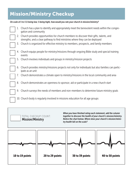### Mission/Ministry Checkup

#### *On scale of 1 to 5 (1 being low; 5 being high), how would you rate your church in mission/ministry?*

| 1. | Church has a plan to identify and appropriately meet the benevolent needs within the congre-<br>gation and community                                                      |
|----|---------------------------------------------------------------------------------------------------------------------------------------------------------------------------|
|    | 2. Church provides opportunities for church members to discover their gifts, talents, and<br>strengths; and a clear pathway to find ministries where they can be deployed |
| 3. | Church is organized for effective ministry to members, prospects, and family members                                                                                      |
| 4. | Church equips people for ministry/missions through ongoing Bible study and special training<br>events                                                                     |
| 5. | Church involves individuals and groups in ministry/mission projects                                                                                                       |
| 6. | Church provides ministry/missions projects not only for individuals but also families can partic-<br>ipate as an unit                                                     |
| 7. | Church demonstrates a climate open to ministry/missions in the local community and area                                                                                   |
| 8. | Church demonstrates an openness to sponsor, aid or participate in a new church start                                                                                      |
|    | 9. Church surveys the needs of members and non-members to determine future ministry goals                                                                                 |
|    | 10. Church body is regularly involved in missions education for all age groups                                                                                            |



*When you have finished rating each statement, add the column*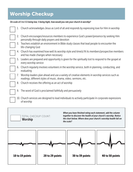### Worship Checkup

*On scale of 1 to 5 (1 being low; 5 being high), how would you rate your church in worship?*

|    | 1. Church acknowledges Jesus as Lord of all and responds by expressing love for Him in worship                  |
|----|-----------------------------------------------------------------------------------------------------------------|
|    |                                                                                                                 |
| 2. | Church encourages/resources members to experience God's power/presence by seeking Him                           |
|    | personally through daily prayers and devotion                                                                   |
|    |                                                                                                                 |
| 3. | Teachers establish an environment in Bible study classes that lead people to encounter the<br>life-changing God |
|    | 4. Church has examined how well its worship style and time(s) fit its members/prospective members               |
|    | and has made changes when necessary                                                                             |
| 5. | Leaders are prepared and opportunity is given for the spiritually lost to respond to the gospel at              |
|    | every worship service                                                                                           |
|    |                                                                                                                 |
|    | 6. Church regularly involves volunteers in the worship service, both in planning, conducting, and<br>evaluating |
| 7. | Worship leaders plan ahead and use a variety of creative elements in worship services such as                   |
|    | readings, different styles of music, drama, video, sermons, etc.                                                |
|    |                                                                                                                 |
| 8. | Church receives the offering as an act of worship                                                               |
|    |                                                                                                                 |
| 9. | The word of God is proclaimed faithfully and persuasively                                                       |
|    |                                                                                                                 |
|    |                                                                                                                 |
|    | 10. Church services are designed to lead individuals to actively participate in corporate expressions           |
|    | of worship                                                                                                      |
|    |                                                                                                                 |

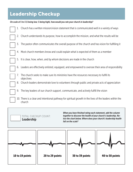### Leadership Checkup

#### *On scale of 1 to 5 (1 being low; 5 being high), how would you rate your church in leadership?*



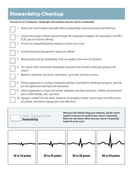### Stewardship Checkup

#### *On scale of 1 to 5 (1 being low; 5 being high), how would you rate your church in stewardship?*

|    | 1. Pastor and church leaders exemplify biblical stewardship in personal giving and testimony                                                                    |
|----|-----------------------------------------------------------------------------------------------------------------------------------------------------------------|
| 2. | Church encourages missions giving through the cooperative program, the association, and SBC/<br>SCBC special missions offering                                  |
|    | 3. Church has stewardship/giving emphasis at least once a year                                                                                                  |
|    | 4. Christian financial management classes are offered                                                                                                           |
| 5. | Biblical giving and the stewardship of life are taught as the norm for believers                                                                                |
|    | 6. The church offers intentional stewardship education that includes estate plan giving to the<br>church                                                        |
|    | 7. Website is attractive, functional, informative, up to date, and free of errors                                                                               |
|    | 8. Exterior appearance is inviting; inadequate parking is provided for handicap and guests; grounds<br>are well lighted and well kept and maintained            |
|    | 9. Interior appearance is clean and inviting; adequate and clean restrooms, children and preschool<br>area is child-friendly, safe, and clean                   |
|    | 10. Signage is visible from the street, entrances are properly marked, service times and office hours<br>are posted, and interior signage give clear directions |

 TOTAL CHECKUP COUNT: **Stewardship** *When you have finished rating each statement, add the column together to discover the health of your church's stewardship. Notice the chart below. Where does your church's stewardship health fall on the scale?*

10 to 19 points  $\vert$  20 to 29 points  $\vert$  30 to 39 points  $\vert$  40 to 50 points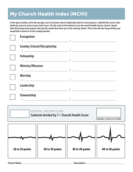### My Church Health Index (MCHI)

*In the spaces below, write the average score of all your church leadership team for each purpose. Subtotal the scores, then divide by seven to arrive at your total score. Use the scale at the bottom to see the overall health of your church. Spend time discussing each purpose and specific needs that show up on the checkup sheets. Then write the two top priorities you would like to work on in the coming months.*

| <b>Evangelism</b>                                                                                                                                                                                                                                                                    |                                                                                                                                                                                                                                                                                      |
|--------------------------------------------------------------------------------------------------------------------------------------------------------------------------------------------------------------------------------------------------------------------------------------|--------------------------------------------------------------------------------------------------------------------------------------------------------------------------------------------------------------------------------------------------------------------------------------|
|                                                                                                                                                                                                                                                                                      |                                                                                                                                                                                                                                                                                      |
| <b>Sunday School/Discipleship</b>                                                                                                                                                                                                                                                    |                                                                                                                                                                                                                                                                                      |
|                                                                                                                                                                                                                                                                                      | 1. $\sim$ 2. $\sim$ 2. $\sim$ 2. $\sim$ 2. $\sim$ 2. $\sim$ 2. $\sim$ 2. $\sim$ 2. $\sim$ 2. $\sim$ 2. $\sim$ 2. $\sim$ 2. $\sim$ 2. $\sim$ 2. $\sim$ 2. $\sim$ 2. $\sim$ 2. $\sim$ 2. $\sim$ 2. $\sim$ 2. $\sim$ 2. $\sim$ 2. $\sim$ 2. $\sim$ 2. $\sim$ 2. $\sim$ 2. $\sim$ 2. $\$ |
| <b>Fellowship</b>                                                                                                                                                                                                                                                                    |                                                                                                                                                                                                                                                                                      |
|                                                                                                                                                                                                                                                                                      | $1.$ $2.$ $2.$                                                                                                                                                                                                                                                                       |
| <b>Ministry/Missions</b>                                                                                                                                                                                                                                                             |                                                                                                                                                                                                                                                                                      |
|                                                                                                                                                                                                                                                                                      |                                                                                                                                                                                                                                                                                      |
| <b>Worship</b>                                                                                                                                                                                                                                                                       |                                                                                                                                                                                                                                                                                      |
|                                                                                                                                                                                                                                                                                      | $1.$ $2.$ $2.$                                                                                                                                                                                                                                                                       |
| Leadership                                                                                                                                                                                                                                                                           |                                                                                                                                                                                                                                                                                      |
|                                                                                                                                                                                                                                                                                      | $1.$ $2.$                                                                                                                                                                                                                                                                            |
| <b>Stewardship</b>                                                                                                                                                                                                                                                                   |                                                                                                                                                                                                                                                                                      |
| $\sim$ 2. $\sim$ 2. $\sim$ 2. $\sim$ 2. $\sim$ 2. $\sim$ 3. $\sim$ 3. $\sim$ 3. $\sim$ 3. $\sim$ 3. $\sim$ 3. $\sim$ 3. $\sim$ 3. $\sim$ 3. $\sim$ 3. $\sim$ 3. $\sim$ 3. $\sim$ 3. $\sim$ 3. $\sim$ 3. $\sim$ 3. $\sim$ 3. $\sim$ 3. $\sim$ 3. $\sim$ 3. $\sim$ 3. $\sim$ 3. $\sim$ |                                                                                                                                                                                                                                                                                      |



Church Name: Association: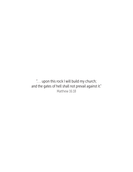". . . upon this rock I will build my church; and the gates of hell shall not prevail against it." Matthew 16:18